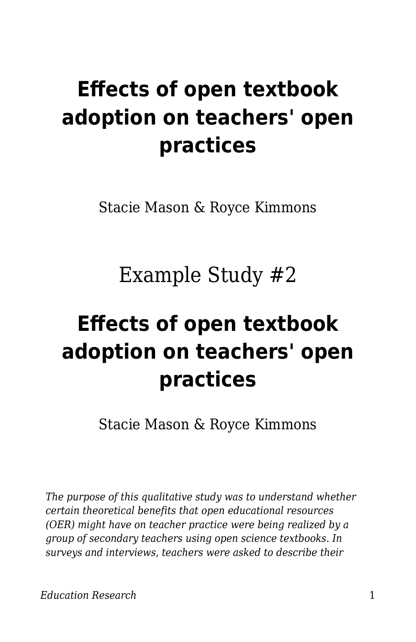# **Effects of open textbook adoption on teachers' open practices**

Stacie Mason & Royce Kimmons

Example Study #2

# **Effects of open textbook adoption on teachers' open practices**

Stacie Mason & Royce Kimmons

*The purpose of this qualitative study was to understand whether certain theoretical benefits that open educational resources (OER) might have on teacher practice were being realized by a group of secondary teachers using open science textbooks. In surveys and interviews, teachers were asked to describe their*

*Education Research* 1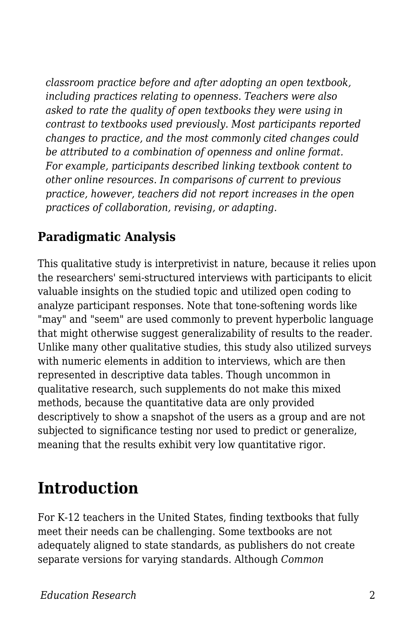*classroom practice before and after adopting an open textbook, including practices relating to openness. Teachers were also asked to rate the quality of open textbooks they were using in contrast to textbooks used previously. Most participants reported changes to practice, and the most commonly cited changes could be attributed to a combination of openness and online format. For example, participants described linking textbook content to other online resources. In comparisons of current to previous practice, however, teachers did not report increases in the open practices of collaboration, revising, or adapting.*

#### **Paradigmatic Analysis**

This qualitative study is interpretivist in nature, because it relies upon the researchers' semi-structured interviews with participants to elicit valuable insights on the studied topic and utilized open coding to analyze participant responses. Note that tone-softening words like "may" and "seem" are used commonly to prevent hyperbolic language that might otherwise suggest generalizability of results to the reader. Unlike many other qualitative studies, this study also utilized surveys with numeric elements in addition to interviews, which are then represented in descriptive data tables. Though uncommon in qualitative research, such supplements do not make this mixed methods, because the quantitative data are only provided descriptively to show a snapshot of the users as a group and are not subjected to significance testing nor used to predict or generalize, meaning that the results exhibit very low quantitative rigor.

### **Introduction**

For K-12 teachers in the United States, finding textbooks that fully meet their needs can be challenging. Some textbooks are not adequately aligned to state standards, as publishers do not create separate versions for varying standards. Although *Common*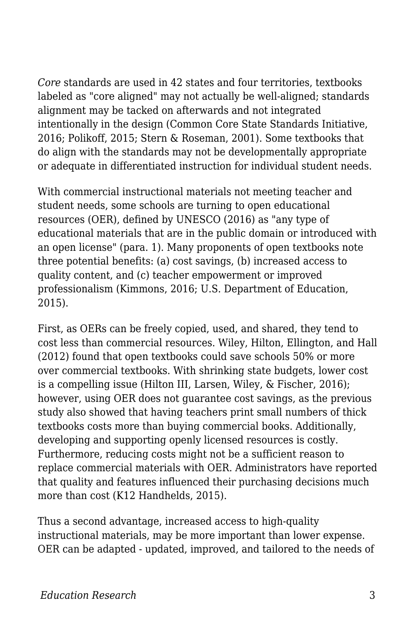*Core* standards are used in 42 states and four territories, textbooks labeled as "core aligned" may not actually be well-aligned; standards alignment may be tacked on afterwards and not integrated intentionally in the design (Common Core State Standards Initiative, 2016; Polikoff, 2015; Stern & Roseman, 2001). Some textbooks that do align with the standards may not be developmentally appropriate or adequate in differentiated instruction for individual student needs.

With commercial instructional materials not meeting teacher and student needs, some schools are turning to open educational resources (OER), defined by UNESCO (2016) as "any type of educational materials that are in the public domain or introduced with an open license" (para. 1). Many proponents of open textbooks note three potential benefits: (a) cost savings, (b) increased access to quality content, and (c) teacher empowerment or improved professionalism (Kimmons, 2016; U.S. Department of Education, 2015).

First, as OERs can be freely copied, used, and shared, they tend to cost less than commercial resources. Wiley, Hilton, Ellington, and Hall (2012) found that open textbooks could save schools 50% or more over commercial textbooks. With shrinking state budgets, lower cost is a compelling issue (Hilton III, Larsen, Wiley, & Fischer, 2016); however, using OER does not guarantee cost savings, as the previous study also showed that having teachers print small numbers of thick textbooks costs more than buying commercial books. Additionally, developing and supporting openly licensed resources is costly. Furthermore, reducing costs might not be a sufficient reason to replace commercial materials with OER. Administrators have reported that quality and features influenced their purchasing decisions much more than cost (K12 Handhelds, 2015).

Thus a second advantage, increased access to high-quality instructional materials, may be more important than lower expense. OER can be adapted - updated, improved, and tailored to the needs of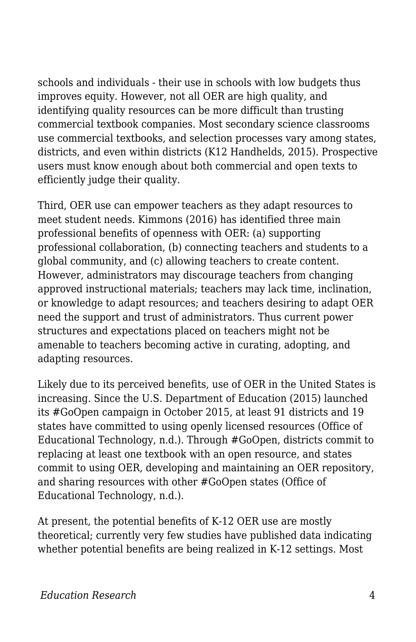schools and individuals - their use in schools with low budgets thus improves equity. However, not all OER are high quality, and identifying quality resources can be more difficult than trusting commercial textbook companies. Most secondary science classrooms use commercial textbooks, and selection processes vary among states, districts, and even within districts (K12 Handhelds, 2015). Prospective users must know enough about both commercial and open texts to efficiently judge their quality.

Third, OER use can empower teachers as they adapt resources to meet student needs. Kimmons (2016) has identified three main professional benefits of openness with OER: (a) supporting professional collaboration, (b) connecting teachers and students to a global community, and (c) allowing teachers to create content. However, administrators may discourage teachers from changing approved instructional materials; teachers may lack time, inclination, or knowledge to adapt resources; and teachers desiring to adapt OER need the support and trust of administrators. Thus current power structures and expectations placed on teachers might not be amenable to teachers becoming active in curating, adopting, and adapting resources.

Likely due to its perceived benefits, use of OER in the United States is increasing. Since the U.S. Department of Education (2015) launched its #GoOpen campaign in October 2015, at least 91 districts and 19 states have committed to using openly licensed resources (Office of Educational Technology, n.d.). Through #GoOpen, districts commit to replacing at least one textbook with an open resource, and states commit to using OER, developing and maintaining an OER repository, and sharing resources with other #GoOpen states (Office of Educational Technology, n.d.).

At present, the potential benefits of K-12 OER use are mostly theoretical; currently very few studies have published data indicating whether potential benefits are being realized in K-12 settings. Most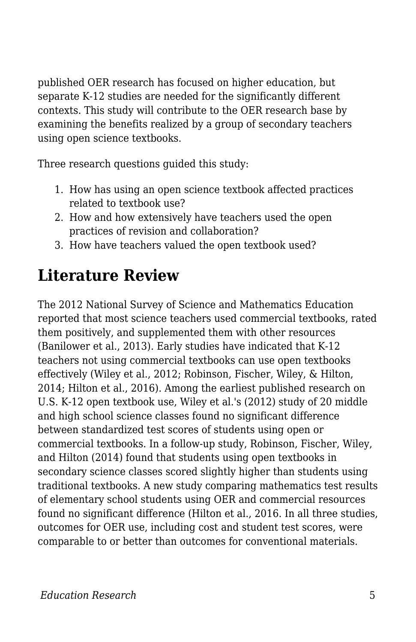published OER research has focused on higher education, but separate K-12 studies are needed for the significantly different contexts. This study will contribute to the OER research base by examining the benefits realized by a group of secondary teachers using open science textbooks.

Three research questions guided this study:

- 1. How has using an open science textbook affected practices related to textbook use?
- 2. How and how extensively have teachers used the open practices of revision and collaboration?
- 3. How have teachers valued the open textbook used?

# **Literature Review**

The 2012 National Survey of Science and Mathematics Education reported that most science teachers used commercial textbooks, rated them positively, and supplemented them with other resources (Banilower et al., 2013). Early studies have indicated that K-12 teachers not using commercial textbooks can use open textbooks effectively (Wiley et al., 2012; Robinson, Fischer, Wiley, & Hilton, 2014; Hilton et al., 2016). Among the earliest published research on U.S. K-12 open textbook use, Wiley et al.'s (2012) study of 20 middle and high school science classes found no significant difference between standardized test scores of students using open or commercial textbooks. In a follow-up study, Robinson, Fischer, Wiley, and Hilton (2014) found that students using open textbooks in secondary science classes scored slightly higher than students using traditional textbooks. A new study comparing mathematics test results of elementary school students using OER and commercial resources found no significant difference (Hilton et al., 2016. In all three studies, outcomes for OER use, including cost and student test scores, were comparable to or better than outcomes for conventional materials.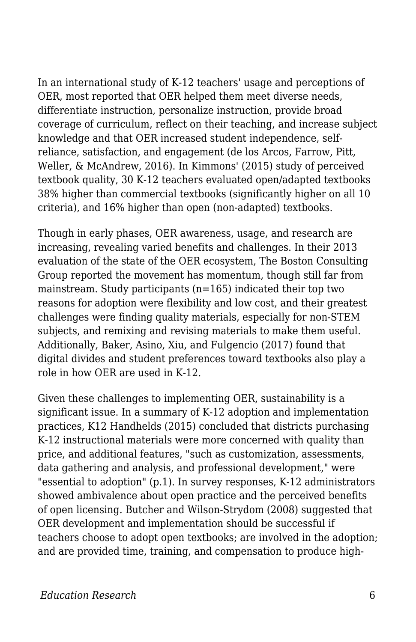In an international study of K-12 teachers' usage and perceptions of OER, most reported that OER helped them meet diverse needs, differentiate instruction, personalize instruction, provide broad coverage of curriculum, reflect on their teaching, and increase subject knowledge and that OER increased student independence, selfreliance, satisfaction, and engagement (de los Arcos, Farrow, Pitt, Weller, & McAndrew, 2016). In Kimmons' (2015) study of perceived textbook quality, 30 K-12 teachers evaluated open/adapted textbooks 38% higher than commercial textbooks (significantly higher on all 10 criteria), and 16% higher than open (non-adapted) textbooks.

Though in early phases, OER awareness, usage, and research are increasing, revealing varied benefits and challenges. In their 2013 evaluation of the state of the OER ecosystem, The Boston Consulting Group reported the movement has momentum, though still far from mainstream. Study participants (n=165) indicated their top two reasons for adoption were flexibility and low cost, and their greatest challenges were finding quality materials, especially for non-STEM subjects, and remixing and revising materials to make them useful. Additionally, Baker, Asino, Xiu, and Fulgencio (2017) found that digital divides and student preferences toward textbooks also play a role in how OER are used in K-12.

Given these challenges to implementing OER, sustainability is a significant issue. In a summary of K-12 adoption and implementation practices, K12 Handhelds (2015) concluded that districts purchasing K-12 instructional materials were more concerned with quality than price, and additional features, "such as customization, assessments, data gathering and analysis, and professional development," were "essential to adoption" (p.1). In survey responses, K-12 administrators showed ambivalence about open practice and the perceived benefits of open licensing. Butcher and Wilson-Strydom (2008) suggested that OER development and implementation should be successful if teachers choose to adopt open textbooks; are involved in the adoption; and are provided time, training, and compensation to produce high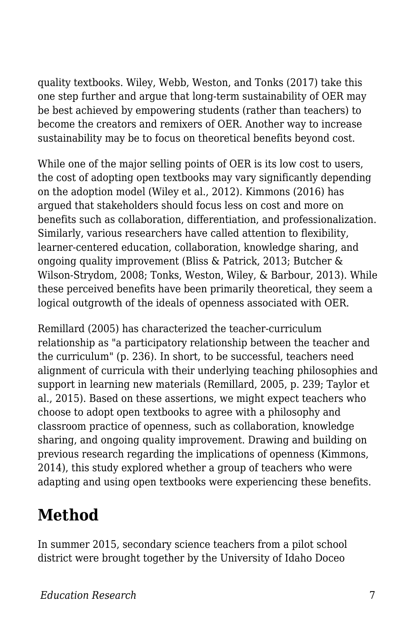quality textbooks. Wiley, Webb, Weston, and Tonks (2017) take this one step further and argue that long-term sustainability of OER may be best achieved by empowering students (rather than teachers) to become the creators and remixers of OER. Another way to increase sustainability may be to focus on theoretical benefits beyond cost.

While one of the major selling points of OER is its low cost to users, the cost of adopting open textbooks may vary significantly depending on the adoption model (Wiley et al., 2012). Kimmons (2016) has argued that stakeholders should focus less on cost and more on benefits such as collaboration, differentiation, and professionalization. Similarly, various researchers have called attention to flexibility, learner-centered education, collaboration, knowledge sharing, and ongoing quality improvement (Bliss & Patrick, 2013; Butcher & Wilson-Strydom, 2008; Tonks, Weston, Wiley, & Barbour, 2013). While these perceived benefits have been primarily theoretical, they seem a logical outgrowth of the ideals of openness associated with OER.

Remillard (2005) has characterized the teacher-curriculum relationship as "a participatory relationship between the teacher and the curriculum" (p. 236). In short, to be successful, teachers need alignment of curricula with their underlying teaching philosophies and support in learning new materials (Remillard, 2005, p. 239; Taylor et al., 2015). Based on these assertions, we might expect teachers who choose to adopt open textbooks to agree with a philosophy and classroom practice of openness, such as collaboration, knowledge sharing, and ongoing quality improvement. Drawing and building on previous research regarding the implications of openness (Kimmons, 2014), this study explored whether a group of teachers who were adapting and using open textbooks were experiencing these benefits.

## **Method**

In summer 2015, secondary science teachers from a pilot school district were brought together by the University of Idaho Doceo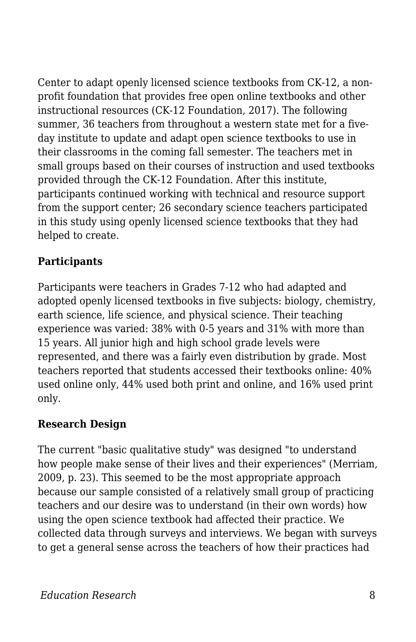Center to adapt openly licensed science textbooks from CK-12, a nonprofit foundation that provides free open online textbooks and other instructional resources (CK-12 Foundation, 2017). The following summer, 36 teachers from throughout a western state met for a fiveday institute to update and adapt open science textbooks to use in their classrooms in the coming fall semester. The teachers met in small groups based on their courses of instruction and used textbooks provided through the CK-12 Foundation. After this institute, participants continued working with technical and resource support from the support center; 26 secondary science teachers participated in this study using openly licensed science textbooks that they had helped to create.

#### **Participants**

Participants were teachers in Grades 7-12 who had adapted and adopted openly licensed textbooks in five subjects: biology, chemistry, earth science, life science, and physical science. Their teaching experience was varied: 38% with 0-5 years and 31% with more than 15 years. All junior high and high school grade levels were represented, and there was a fairly even distribution by grade. Most teachers reported that students accessed their textbooks online: 40% used online only, 44% used both print and online, and 16% used print only.

#### **Research Design**

The current "basic qualitative study" was designed "to understand how people make sense of their lives and their experiences" (Merriam, 2009, p. 23). This seemed to be the most appropriate approach because our sample consisted of a relatively small group of practicing teachers and our desire was to understand (in their own words) how using the open science textbook had affected their practice. We collected data through surveys and interviews. We began with surveys to get a general sense across the teachers of how their practices had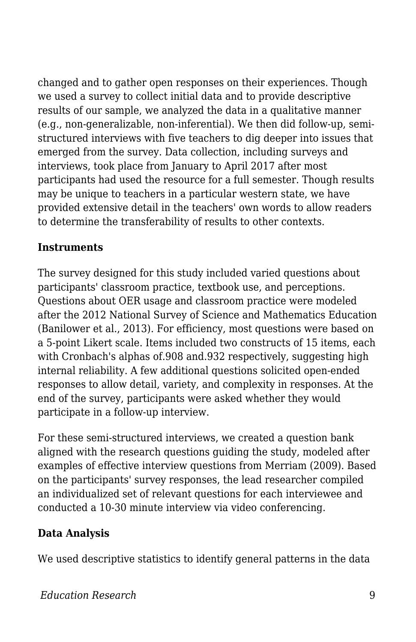changed and to gather open responses on their experiences. Though we used a survey to collect initial data and to provide descriptive results of our sample, we analyzed the data in a qualitative manner (e.g., non-generalizable, non-inferential). We then did follow-up, semistructured interviews with five teachers to dig deeper into issues that emerged from the survey. Data collection, including surveys and interviews, took place from January to April 2017 after most participants had used the resource for a full semester. Though results may be unique to teachers in a particular western state, we have provided extensive detail in the teachers' own words to allow readers to determine the transferability of results to other contexts.

#### **Instruments**

The survey designed for this study included varied questions about participants' classroom practice, textbook use, and perceptions. Questions about OER usage and classroom practice were modeled after the 2012 National Survey of Science and Mathematics Education (Banilower et al., 2013). For efficiency, most questions were based on a 5-point Likert scale. Items included two constructs of 15 items, each with Cronbach's alphas of.908 and.932 respectively, suggesting high internal reliability. A few additional questions solicited open-ended responses to allow detail, variety, and complexity in responses. At the end of the survey, participants were asked whether they would participate in a follow-up interview.

For these semi-structured interviews, we created a question bank aligned with the research questions guiding the study, modeled after examples of effective interview questions from Merriam (2009). Based on the participants' survey responses, the lead researcher compiled an individualized set of relevant questions for each interviewee and conducted a 10-30 minute interview via video conferencing.

#### **Data Analysis**

We used descriptive statistics to identify general patterns in the data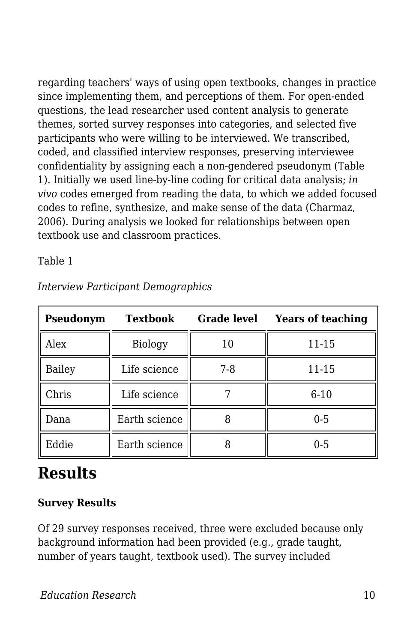regarding teachers' ways of using open textbooks, changes in practice since implementing them, and perceptions of them. For open-ended questions, the lead researcher used content analysis to generate themes, sorted survey responses into categories, and selected five participants who were willing to be interviewed. We transcribed, coded, and classified interview responses, preserving interviewee confidentiality by assigning each a non-gendered pseudonym (Table 1). Initially we used line-by-line coding for critical data analysis; *in vivo* codes emerged from reading the data, to which we added focused codes to refine, synthesize, and make sense of the data (Charmaz, 2006). During analysis we looked for relationships between open textbook use and classroom practices.

Table 1

| Pseudonym     | <b>Textbook</b> | <b>Grade level</b> | <b>Years of teaching</b> |
|---------------|-----------------|--------------------|--------------------------|
| Alex          | Biology         | 10                 | 11-15                    |
| <b>Bailey</b> | Life science    | 7-8                | 11-15                    |
| Chris         | Life science    |                    | $6 - 10$                 |
| Dana          | Earth science   |                    | $0 - 5$                  |
| Eddie         | Earth science   |                    | $0 - 5$                  |

*Interview Participant Demographics*

# **Results**

#### **Survey Results**

Of 29 survey responses received, three were excluded because only background information had been provided (e.g., grade taught, number of years taught, textbook used). The survey included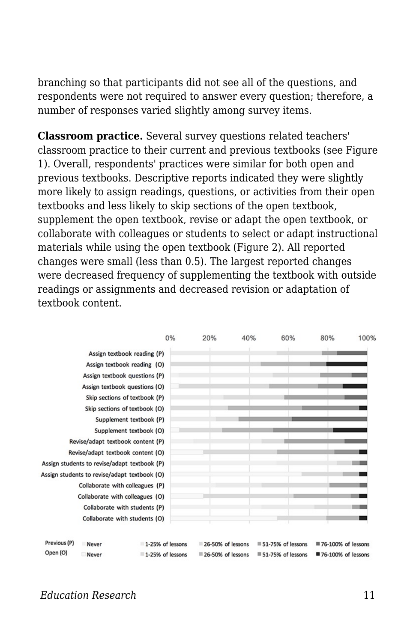branching so that participants did not see all of the questions, and respondents were not required to answer every question; therefore, a number of responses varied slightly among survey items.

**Classroom practice.** Several survey questions related teachers' classroom practice to their current and previous textbooks (see Figure 1). Overall, respondents' practices were similar for both open and previous textbooks. Descriptive reports indicated they were slightly more likely to assign readings, questions, or activities from their open textbooks and less likely to skip sections of the open textbook, supplement the open textbook, revise or adapt the open textbook, or collaborate with colleagues or students to select or adapt instructional materials while using the open textbook (Figure 2). All reported changes were small (less than 0.5). The largest reported changes were decreased frequency of supplementing the textbook with outside readings or assignments and decreased revision or adaptation of textbook content.

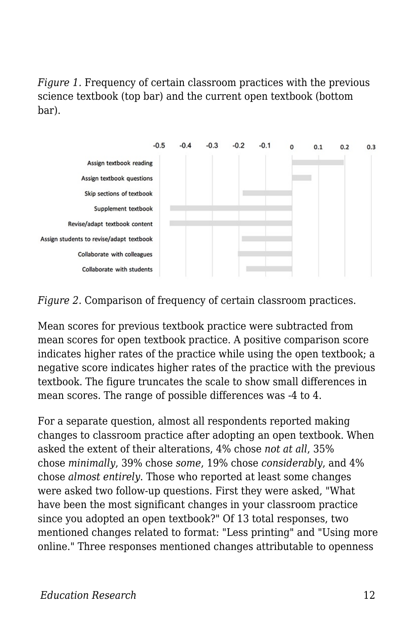*Figure 1.* Frequency of certain classroom practices with the previous science textbook (top bar) and the current open textbook (bottom bar).



*Figure 2.* Comparison of frequency of certain classroom practices.

Mean scores for previous textbook practice were subtracted from mean scores for open textbook practice. A positive comparison score indicates higher rates of the practice while using the open textbook; a negative score indicates higher rates of the practice with the previous textbook. The figure truncates the scale to show small differences in mean scores. The range of possible differences was -4 to 4.

For a separate question, almost all respondents reported making changes to classroom practice after adopting an open textbook. When asked the extent of their alterations, 4% chose *not at all*, 35% chose *minimally*, 39% chose *some*, 19% chose *considerably*, and 4% chose *almost entirely*. Those who reported at least some changes were asked two follow-up questions. First they were asked, "What have been the most significant changes in your classroom practice since you adopted an open textbook?" Of 13 total responses, two mentioned changes related to format: "Less printing" and "Using more online." Three responses mentioned changes attributable to openness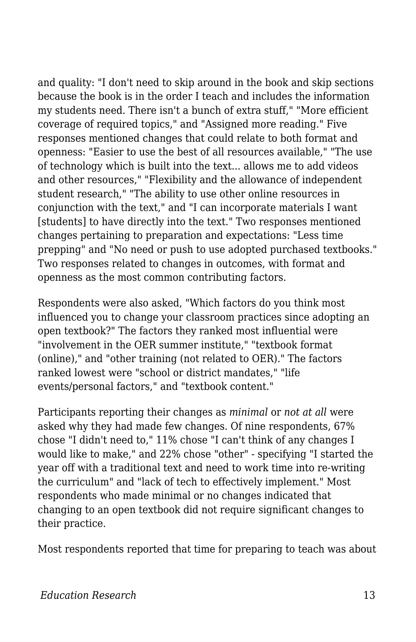and quality: "I don't need to skip around in the book and skip sections because the book is in the order I teach and includes the information my students need. There isn't a bunch of extra stuff," "More efficient coverage of required topics," and "Assigned more reading." Five responses mentioned changes that could relate to both format and openness: "Easier to use the best of all resources available," "The use of technology which is built into the text... allows me to add videos and other resources," "Flexibility and the allowance of independent student research," "The ability to use other online resources in conjunction with the text," and "I can incorporate materials I want [students] to have directly into the text." Two responses mentioned changes pertaining to preparation and expectations: "Less time prepping" and "No need or push to use adopted purchased textbooks." Two responses related to changes in outcomes, with format and openness as the most common contributing factors.

Respondents were also asked, "Which factors do you think most influenced you to change your classroom practices since adopting an open textbook?" The factors they ranked most influential were "involvement in the OER summer institute," "textbook format (online)," and "other training (not related to OER)." The factors ranked lowest were "school or district mandates," "life events/personal factors," and "textbook content."

Participants reporting their changes as *minimal* or *not at all* were asked why they had made few changes. Of nine respondents, 67% chose "I didn't need to," 11% chose "I can't think of any changes I would like to make," and 22% chose "other" - specifying "I started the year off with a traditional text and need to work time into re-writing the curriculum" and "lack of tech to effectively implement." Most respondents who made minimal or no changes indicated that changing to an open textbook did not require significant changes to their practice.

Most respondents reported that time for preparing to teach was about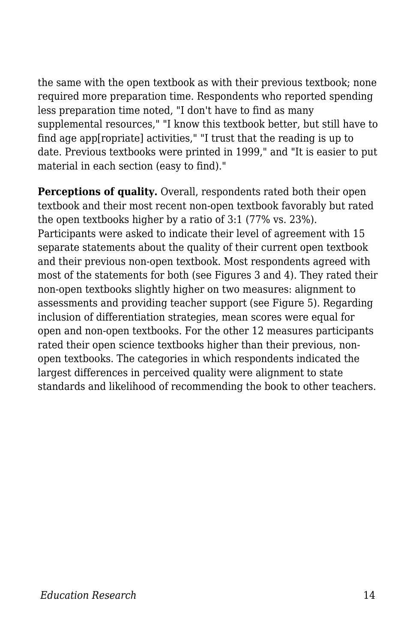the same with the open textbook as with their previous textbook; none required more preparation time. Respondents who reported spending less preparation time noted, "I don't have to find as many supplemental resources," "I know this textbook better, but still have to find age app[ropriate] activities," "I trust that the reading is up to date. Previous textbooks were printed in 1999," and "It is easier to put material in each section (easy to find)."

**Perceptions of quality.** Overall, respondents rated both their open textbook and their most recent non-open textbook favorably but rated the open textbooks higher by a ratio of 3:1 (77% vs. 23%). Participants were asked to indicate their level of agreement with 15 separate statements about the quality of their current open textbook and their previous non-open textbook. Most respondents agreed with most of the statements for both (see Figures 3 and 4). They rated their non-open textbooks slightly higher on two measures: alignment to assessments and providing teacher support (see Figure 5). Regarding inclusion of differentiation strategies, mean scores were equal for open and non-open textbooks. For the other 12 measures participants rated their open science textbooks higher than their previous, nonopen textbooks. The categories in which respondents indicated the largest differences in perceived quality were alignment to state standards and likelihood of recommending the book to other teachers.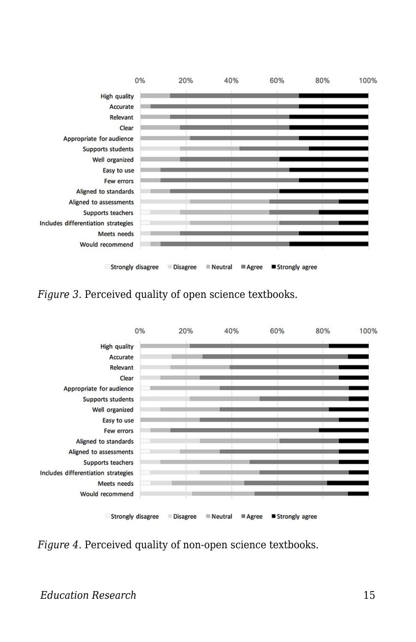

*Figure 3.* Perceived quality of open science textbooks.



*Figure 4.* Perceived quality of non-open science textbooks.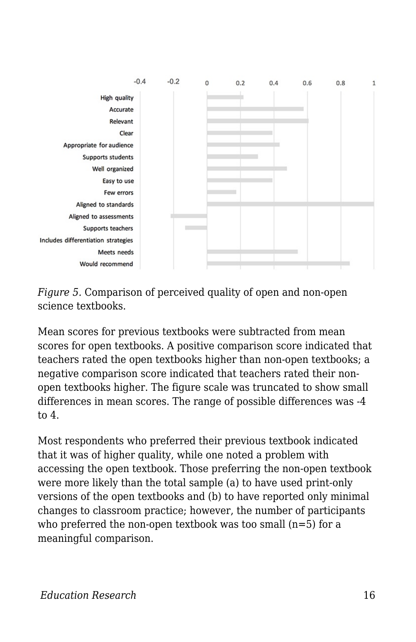

*Figure 5.* Comparison of perceived quality of open and non-open science textbooks.

Mean scores for previous textbooks were subtracted from mean scores for open textbooks. A positive comparison score indicated that teachers rated the open textbooks higher than non-open textbooks; a negative comparison score indicated that teachers rated their nonopen textbooks higher. The figure scale was truncated to show small differences in mean scores. The range of possible differences was -4 to 4.

Most respondents who preferred their previous textbook indicated that it was of higher quality, while one noted a problem with accessing the open textbook. Those preferring the non-open textbook were more likely than the total sample (a) to have used print-only versions of the open textbooks and (b) to have reported only minimal changes to classroom practice; however, the number of participants who preferred the non-open textbook was too small  $(n=5)$  for a meaningful comparison.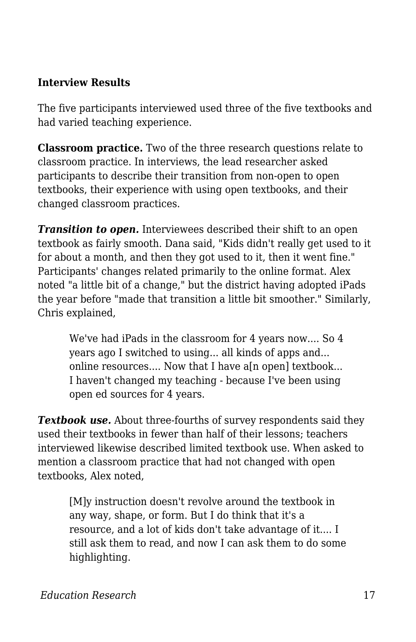#### **Interview Results**

The five participants interviewed used three of the five textbooks and had varied teaching experience.

**Classroom practice.** Two of the three research questions relate to classroom practice. In interviews, the lead researcher asked participants to describe their transition from non-open to open textbooks, their experience with using open textbooks, and their changed classroom practices.

*Transition to open.* Interviewees described their shift to an open textbook as fairly smooth. Dana said, "Kids didn't really get used to it for about a month, and then they got used to it, then it went fine." Participants' changes related primarily to the online format. Alex noted "a little bit of a change," but the district having adopted iPads the year before "made that transition a little bit smoother." Similarly, Chris explained,

We've had iPads in the classroom for 4 years now.... So 4 years ago I switched to using... all kinds of apps and... online resources.... Now that I have a<sup>[n open]</sup> textbook... I haven't changed my teaching - because I've been using open ed sources for 4 years.

*Textbook use.* About three-fourths of survey respondents said they used their textbooks in fewer than half of their lessons; teachers interviewed likewise described limited textbook use. When asked to mention a classroom practice that had not changed with open textbooks, Alex noted,

[M]y instruction doesn't revolve around the textbook in any way, shape, or form. But I do think that it's a resource, and a lot of kids don't take advantage of it.... I still ask them to read, and now I can ask them to do some highlighting.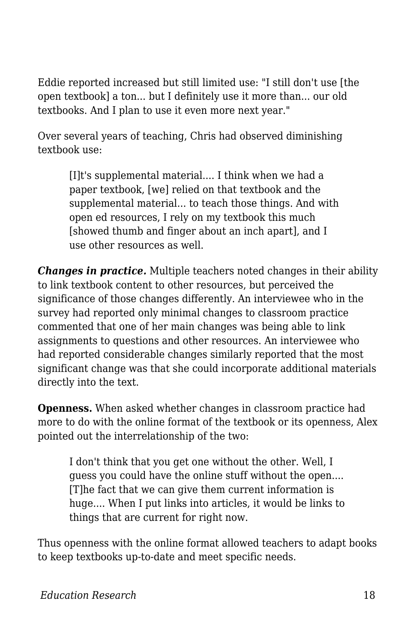Eddie reported increased but still limited use: "I still don't use [the open textbook] a ton... but I definitely use it more than... our old textbooks. And I plan to use it even more next year."

Over several years of teaching, Chris had observed diminishing textbook use:

> [I]t's supplemental material.... I think when we had a paper textbook, [we] relied on that textbook and the supplemental material... to teach those things. And with open ed resources, I rely on my textbook this much [showed thumb and finger about an inch apart], and I use other resources as well.

*Changes in practice.* Multiple teachers noted changes in their ability to link textbook content to other resources, but perceived the significance of those changes differently. An interviewee who in the survey had reported only minimal changes to classroom practice commented that one of her main changes was being able to link assignments to questions and other resources. An interviewee who had reported considerable changes similarly reported that the most significant change was that she could incorporate additional materials directly into the text.

**Openness.** When asked whether changes in classroom practice had more to do with the online format of the textbook or its openness, Alex pointed out the interrelationship of the two:

I don't think that you get one without the other. Well, I guess you could have the online stuff without the open.... [T]he fact that we can give them current information is huge.... When I put links into articles, it would be links to things that are current for right now.

Thus openness with the online format allowed teachers to adapt books to keep textbooks up-to-date and meet specific needs.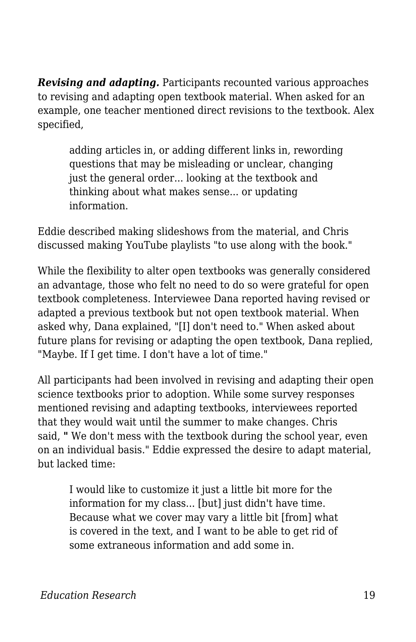*Revising and adapting.* Participants recounted various approaches to revising and adapting open textbook material. When asked for an example, one teacher mentioned direct revisions to the textbook. Alex specified,

adding articles in, or adding different links in, rewording questions that may be misleading or unclear, changing just the general order... looking at the textbook and thinking about what makes sense... or updating information.

Eddie described making slideshows from the material, and Chris discussed making YouTube playlists "to use along with the book."

While the flexibility to alter open textbooks was generally considered an advantage, those who felt no need to do so were grateful for open textbook completeness. Interviewee Dana reported having revised or adapted a previous textbook but not open textbook material. When asked why, Dana explained, "[I] don't need to." When asked about future plans for revising or adapting the open textbook, Dana replied, "Maybe. If I get time. I don't have a lot of time."

All participants had been involved in revising and adapting their open science textbooks prior to adoption. While some survey responses mentioned revising and adapting textbooks, interviewees reported that they would wait until the summer to make changes. Chris said, *"* We don't mess with the textbook during the school year, even on an individual basis." Eddie expressed the desire to adapt material, but lacked time:

I would like to customize it just a little bit more for the information for my class... [but] just didn't have time. Because what we cover may vary a little bit [from] what is covered in the text, and I want to be able to get rid of some extraneous information and add some in.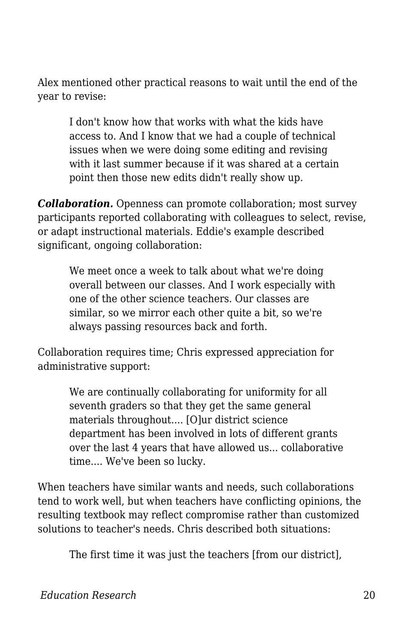Alex mentioned other practical reasons to wait until the end of the year to revise:

I don't know how that works with what the kids have access to. And I know that we had a couple of technical issues when we were doing some editing and revising with it last summer because if it was shared at a certain point then those new edits didn't really show up.

*Collaboration.* Openness can promote collaboration; most survey participants reported collaborating with colleagues to select, revise, or adapt instructional materials. Eddie's example described significant, ongoing collaboration:

We meet once a week to talk about what we're doing overall between our classes. And I work especially with one of the other science teachers. Our classes are similar, so we mirror each other quite a bit, so we're always passing resources back and forth.

Collaboration requires time; Chris expressed appreciation for administrative support:

> We are continually collaborating for uniformity for all seventh graders so that they get the same general materials throughout.... [O]ur district science department has been involved in lots of different grants over the last 4 years that have allowed us... collaborative time.... We've been so lucky.

When teachers have similar wants and needs, such collaborations tend to work well, but when teachers have conflicting opinions, the resulting textbook may reflect compromise rather than customized solutions to teacher's needs. Chris described both situations:

The first time it was just the teachers [from our district],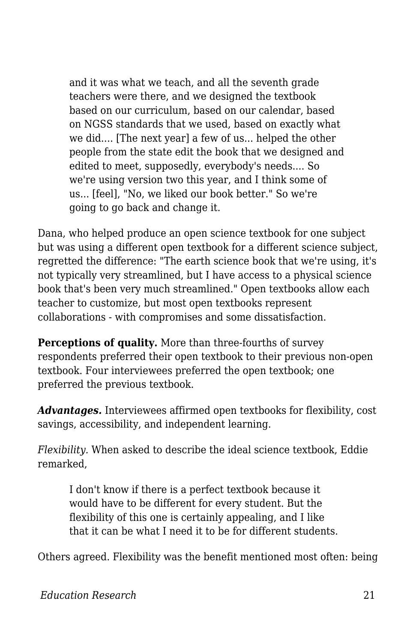and it was what we teach, and all the seventh grade teachers were there, and we designed the textbook based on our curriculum, based on our calendar, based on NGSS standards that we used, based on exactly what we did.... [The next year] a few of us... helped the other people from the state edit the book that we designed and edited to meet, supposedly, everybody's needs.... So we're using version two this year, and I think some of us... [feel], "No, we liked our book better." So we're going to go back and change it.

Dana, who helped produce an open science textbook for one subject but was using a different open textbook for a different science subject, regretted the difference: "The earth science book that we're using, it's not typically very streamlined, but I have access to a physical science book that's been very much streamlined." Open textbooks allow each teacher to customize, but most open textbooks represent collaborations - with compromises and some dissatisfaction.

**Perceptions of quality.** More than three-fourths of survey respondents preferred their open textbook to their previous non-open textbook. Four interviewees preferred the open textbook; one preferred the previous textbook.

*Advantages.* Interviewees affirmed open textbooks for flexibility, cost savings, accessibility, and independent learning.

*Flexibility.* When asked to describe the ideal science textbook, Eddie remarked,

I don't know if there is a perfect textbook because it would have to be different for every student. But the flexibility of this one is certainly appealing, and I like that it can be what I need it to be for different students.

Others agreed. Flexibility was the benefit mentioned most often: being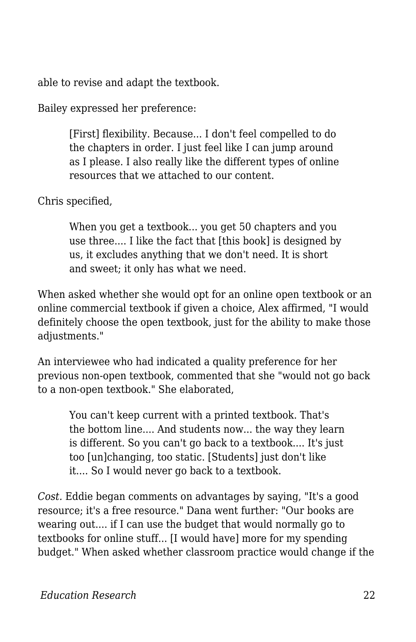able to revise and adapt the textbook.

Bailey expressed her preference:

[First] flexibility. Because... I don't feel compelled to do the chapters in order. I just feel like I can jump around as I please. I also really like the different types of online resources that we attached to our content.

Chris specified,

When you get a textbook... you get 50 chapters and you use three.... I like the fact that [this book] is designed by us, it excludes anything that we don't need. It is short and sweet; it only has what we need.

When asked whether she would opt for an online open textbook or an online commercial textbook if given a choice, Alex affirmed, "I would definitely choose the open textbook, just for the ability to make those adjustments."

An interviewee who had indicated a quality preference for her previous non-open textbook, commented that she "would not go back to a non-open textbook." She elaborated,

You can't keep current with a printed textbook. That's the bottom line.... And students now... the way they learn is different. So you can't go back to a textbook.... It's just too [un]changing, too static. [Students] just don't like it.... So I would never go back to a textbook.

*Cost.* Eddie began comments on advantages by saying, "It's a good resource; it's a free resource." Dana went further: "Our books are wearing out.... if I can use the budget that would normally go to textbooks for online stuff... [I would have] more for my spending budget." When asked whether classroom practice would change if the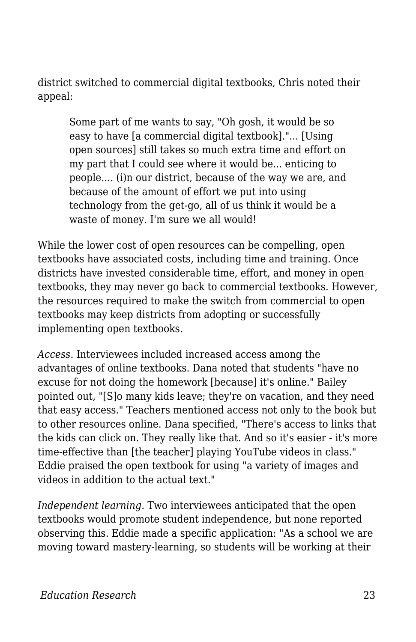district switched to commercial digital textbooks, Chris noted their appeal:

Some part of me wants to say, "Oh gosh, it would be so easy to have [a commercial digital textbook]."... [Using open sources] still takes so much extra time and effort on my part that I could see where it would be... enticing to people.... (i)n our district, because of the way we are, and because of the amount of effort we put into using technology from the get-go, all of us think it would be a waste of money. I'm sure we all would!

While the lower cost of open resources can be compelling, open textbooks have associated costs, including time and training. Once districts have invested considerable time, effort, and money in open textbooks, they may never go back to commercial textbooks. However, the resources required to make the switch from commercial to open textbooks may keep districts from adopting or successfully implementing open textbooks.

*Access.* Interviewees included increased access among the advantages of online textbooks. Dana noted that students "have no excuse for not doing the homework [because] it's online." Bailey pointed out, "[S]o many kids leave; they're on vacation, and they need that easy access." Teachers mentioned access not only to the book but to other resources online. Dana specified, "There's access to links that the kids can click on. They really like that. And so it's easier - it's more time-effective than [the teacher] playing YouTube videos in class." Eddie praised the open textbook for using "a variety of images and videos in addition to the actual text."

*Independent learning.* Two interviewees anticipated that the open textbooks would promote student independence, but none reported observing this. Eddie made a specific application: "As a school we are moving toward mastery-learning, so students will be working at their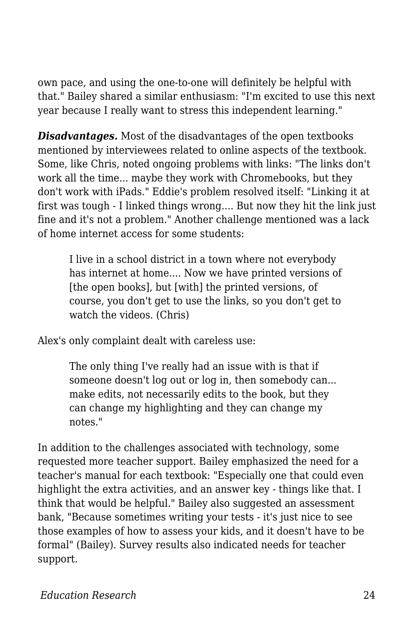own pace, and using the one-to-one will definitely be helpful with that." Bailey shared a similar enthusiasm: "I'm excited to use this next year because I really want to stress this independent learning."

*Disadvantages.* Most of the disadvantages of the open textbooks mentioned by interviewees related to online aspects of the textbook. Some, like Chris, noted ongoing problems with links: "The links don't work all the time... maybe they work with Chromebooks, but they don't work with iPads." Eddie's problem resolved itself: "Linking it at first was tough - I linked things wrong.... But now they hit the link just fine and it's not a problem." Another challenge mentioned was a lack of home internet access for some students:

I live in a school district in a town where not everybody has internet at home.... Now we have printed versions of [the open books], but [with] the printed versions, of course, you don't get to use the links, so you don't get to watch the videos. (Chris)

Alex's only complaint dealt with careless use:

The only thing I've really had an issue with is that if someone doesn't log out or log in, then somebody can... make edits, not necessarily edits to the book, but they can change my highlighting and they can change my notes."

In addition to the challenges associated with technology, some requested more teacher support. Bailey emphasized the need for a teacher's manual for each textbook: "Especially one that could even highlight the extra activities, and an answer key - things like that. I think that would be helpful." Bailey also suggested an assessment bank, "Because sometimes writing your tests - it's just nice to see those examples of how to assess your kids, and it doesn't have to be formal" (Bailey). Survey results also indicated needs for teacher support.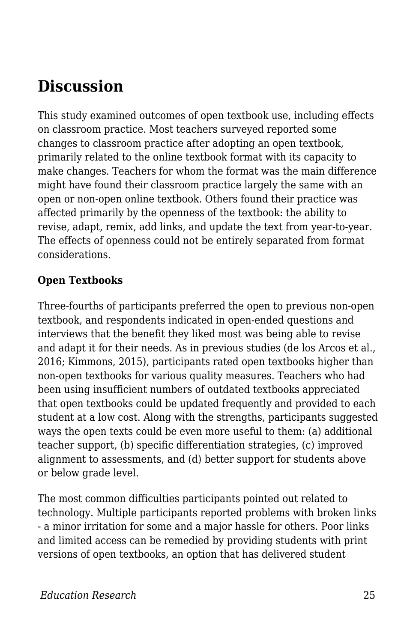# **Discussion**

This study examined outcomes of open textbook use, including effects on classroom practice. Most teachers surveyed reported some changes to classroom practice after adopting an open textbook, primarily related to the online textbook format with its capacity to make changes. Teachers for whom the format was the main difference might have found their classroom practice largely the same with an open or non-open online textbook. Others found their practice was affected primarily by the openness of the textbook: the ability to revise, adapt, remix, add links, and update the text from year-to-year. The effects of openness could not be entirely separated from format considerations.

#### **Open Textbooks**

Three-fourths of participants preferred the open to previous non-open textbook, and respondents indicated in open-ended questions and interviews that the benefit they liked most was being able to revise and adapt it for their needs. As in previous studies (de los Arcos et al., 2016; Kimmons, 2015), participants rated open textbooks higher than non-open textbooks for various quality measures. Teachers who had been using insufficient numbers of outdated textbooks appreciated that open textbooks could be updated frequently and provided to each student at a low cost. Along with the strengths, participants suggested ways the open texts could be even more useful to them: (a) additional teacher support, (b) specific differentiation strategies, (c) improved alignment to assessments, and (d) better support for students above or below grade level.

The most common difficulties participants pointed out related to technology. Multiple participants reported problems with broken links - a minor irritation for some and a major hassle for others. Poor links and limited access can be remedied by providing students with print versions of open textbooks, an option that has delivered student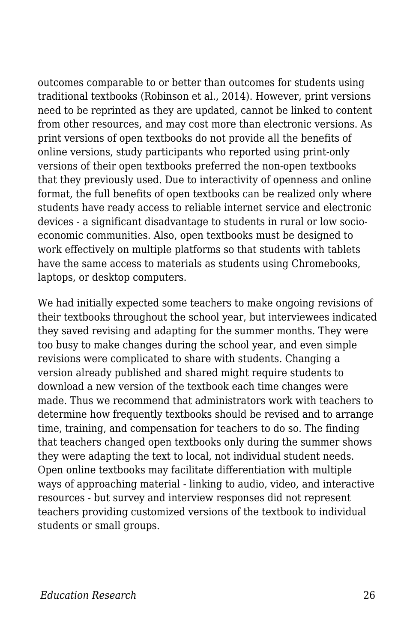outcomes comparable to or better than outcomes for students using traditional textbooks (Robinson et al., 2014). However, print versions need to be reprinted as they are updated, cannot be linked to content from other resources, and may cost more than electronic versions. As print versions of open textbooks do not provide all the benefits of online versions, study participants who reported using print-only versions of their open textbooks preferred the non-open textbooks that they previously used. Due to interactivity of openness and online format, the full benefits of open textbooks can be realized only where students have ready access to reliable internet service and electronic devices - a significant disadvantage to students in rural or low socioeconomic communities. Also, open textbooks must be designed to work effectively on multiple platforms so that students with tablets have the same access to materials as students using Chromebooks, laptops, or desktop computers.

We had initially expected some teachers to make ongoing revisions of their textbooks throughout the school year, but interviewees indicated they saved revising and adapting for the summer months. They were too busy to make changes during the school year, and even simple revisions were complicated to share with students. Changing a version already published and shared might require students to download a new version of the textbook each time changes were made. Thus we recommend that administrators work with teachers to determine how frequently textbooks should be revised and to arrange time, training, and compensation for teachers to do so. The finding that teachers changed open textbooks only during the summer shows they were adapting the text to local, not individual student needs. Open online textbooks may facilitate differentiation with multiple ways of approaching material - linking to audio, video, and interactive resources - but survey and interview responses did not represent teachers providing customized versions of the textbook to individual students or small groups.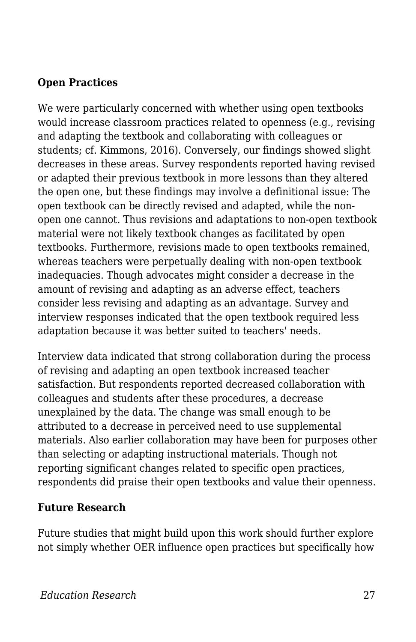#### **Open Practices**

We were particularly concerned with whether using open textbooks would increase classroom practices related to openness (e.g., revising and adapting the textbook and collaborating with colleagues or students; cf. Kimmons, 2016). Conversely, our findings showed slight decreases in these areas. Survey respondents reported having revised or adapted their previous textbook in more lessons than they altered the open one, but these findings may involve a definitional issue: The open textbook can be directly revised and adapted, while the nonopen one cannot. Thus revisions and adaptations to non-open textbook material were not likely textbook changes as facilitated by open textbooks. Furthermore, revisions made to open textbooks remained, whereas teachers were perpetually dealing with non-open textbook inadequacies. Though advocates might consider a decrease in the amount of revising and adapting as an adverse effect, teachers consider less revising and adapting as an advantage. Survey and interview responses indicated that the open textbook required less adaptation because it was better suited to teachers' needs.

Interview data indicated that strong collaboration during the process of revising and adapting an open textbook increased teacher satisfaction. But respondents reported decreased collaboration with colleagues and students after these procedures, a decrease unexplained by the data. The change was small enough to be attributed to a decrease in perceived need to use supplemental materials. Also earlier collaboration may have been for purposes other than selecting or adapting instructional materials. Though not reporting significant changes related to specific open practices, respondents did praise their open textbooks and value their openness.

#### **Future Research**

Future studies that might build upon this work should further explore not simply whether OER influence open practices but specifically how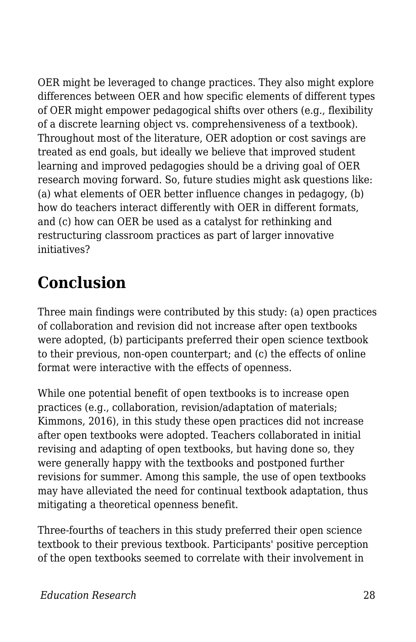OER might be leveraged to change practices. They also might explore differences between OER and how specific elements of different types of OER might empower pedagogical shifts over others (e.g., flexibility of a discrete learning object vs. comprehensiveness of a textbook). Throughout most of the literature, OER adoption or cost savings are treated as end goals, but ideally we believe that improved student learning and improved pedagogies should be a driving goal of OER research moving forward. So, future studies might ask questions like: (a) what elements of OER better influence changes in pedagogy, (b) how do teachers interact differently with OER in different formats, and (c) how can OER be used as a catalyst for rethinking and restructuring classroom practices as part of larger innovative initiatives?

# **Conclusion**

Three main findings were contributed by this study: (a) open practices of collaboration and revision did not increase after open textbooks were adopted, (b) participants preferred their open science textbook to their previous, non-open counterpart; and (c) the effects of online format were interactive with the effects of openness.

While one potential benefit of open textbooks is to increase open practices (e.g., collaboration, revision/adaptation of materials; Kimmons, 2016), in this study these open practices did not increase after open textbooks were adopted. Teachers collaborated in initial revising and adapting of open textbooks, but having done so, they were generally happy with the textbooks and postponed further revisions for summer. Among this sample, the use of open textbooks may have alleviated the need for continual textbook adaptation, thus mitigating a theoretical openness benefit.

Three-fourths of teachers in this study preferred their open science textbook to their previous textbook. Participants' positive perception of the open textbooks seemed to correlate with their involvement in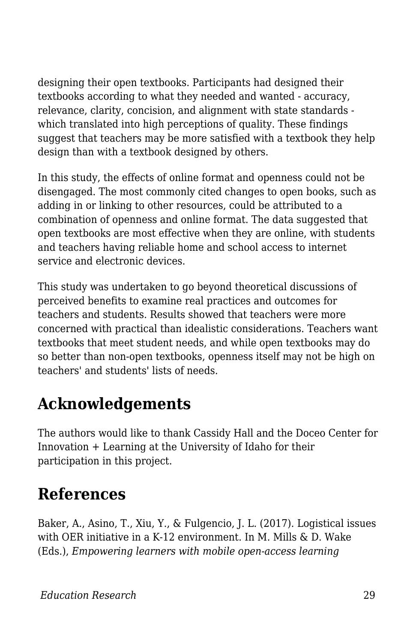designing their open textbooks. Participants had designed their textbooks according to what they needed and wanted - accuracy, relevance, clarity, concision, and alignment with state standards which translated into high perceptions of quality. These findings suggest that teachers may be more satisfied with a textbook they help design than with a textbook designed by others.

In this study, the effects of online format and openness could not be disengaged. The most commonly cited changes to open books, such as adding in or linking to other resources, could be attributed to a combination of openness and online format. The data suggested that open textbooks are most effective when they are online, with students and teachers having reliable home and school access to internet service and electronic devices.

This study was undertaken to go beyond theoretical discussions of perceived benefits to examine real practices and outcomes for teachers and students. Results showed that teachers were more concerned with practical than idealistic considerations. Teachers want textbooks that meet student needs, and while open textbooks may do so better than non-open textbooks, openness itself may not be high on teachers' and students' lists of needs.

# **Acknowledgements**

The authors would like to thank Cassidy Hall and the Doceo Center for Innovation + Learning at the University of Idaho for their participation in this project.

# **References**

Baker, A., Asino, T., Xiu, Y., & Fulgencio, J. L. (2017). Logistical issues with OER initiative in a K-12 environment. In M. Mills & D. Wake (Eds.), *Empowering learners with mobile open-access learning*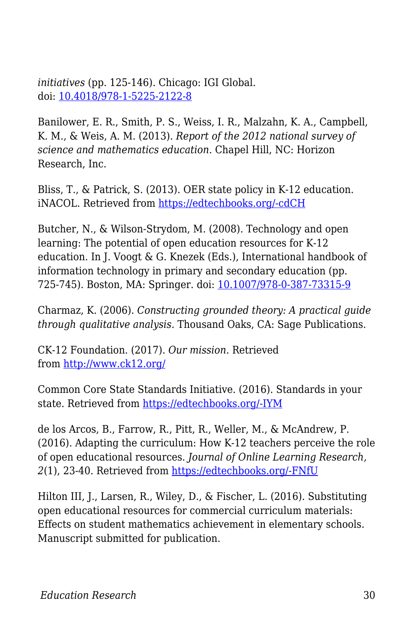*initiatives* (pp. 125-146). Chicago: IGI Global. doi: [10.4018/978-1-5225-2122-8](http://doi.org/10.4018/978-1-5225-2122-8)

Banilower, E. R., Smith, P. S., Weiss, I. R., Malzahn, K. A., Campbell, K. M., & Weis, A. M. (2013). *Report of the 2012 national survey of science and mathematics education*. Chapel Hill, NC: Horizon Research, Inc.

Bliss, T., & Patrick, S. (2013). OER state policy in K-12 education. iNACOL. Retrieved from [https://edtechbooks.org/-cdCH](http://www.inacol.org/resource/oer-state-policy-in-k-12-education-benefits-strategies-and-recommendations-for-open-access-open-sharing/)

Butcher, N., & Wilson-Strydom, M. (2008). Technology and open learning: The potential of open education resources for K-12 education. In J. Voogt & G. Knezek (Eds.), International handbook of information technology in primary and secondary education (pp. 725-745). Boston, MA: Springer. doi: [10.1007/978-0-387-73315-9](http://doi.org/10.1007/978-0-387-73315-9)

Charmaz, K. (2006). *Constructing grounded theory: A practical guide through qualitative analysis.* Thousand Oaks, CA: Sage Publications.

CK-12 Foundation. (2017). *Our mission*. Retrieved from<http://www.ck12.org/>

Common Core State Standards Initiative. (2016). Standards in your state. Retrieved from [https://edtechbooks.org/-IYM](http://www.corestandards.org/standards-in-your-state/)

de los Arcos, B., Farrow, R., Pitt, R., Weller, M., & McAndrew, P. (2016). Adapting the curriculum: How K-12 teachers perceive the role of open educational resources. *Journal of Online Learning Research, 2*(1), 23-40. Retrieved from [https://edtechbooks.org/-FNfU](https://www.learntechlib.org/primary/p/151664/)

Hilton III, J., Larsen, R., Wiley, D., & Fischer, L. (2016). Substituting open educational resources for commercial curriculum materials: Effects on student mathematics achievement in elementary schools. Manuscript submitted for publication.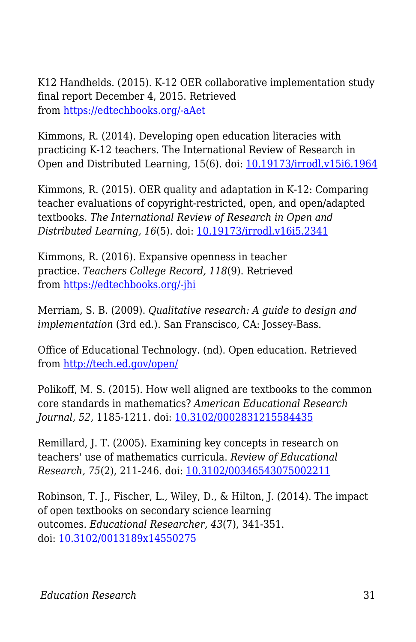K12 Handhelds. (2015). K-12 OER collaborative implementation study final report December 4, 2015. Retrieved from [https://edtechbooks.org/-aAet](http://www.k12opened.com/blog/wp-content/uploads/K12HH-Final-Report-Dec-2015.pdf)

Kimmons, R. (2014). Developing open education literacies with practicing K-12 teachers. The International Review of Research in Open and Distributed Learning, 15(6). doi: [10.19173/irrodl.v15i6.1964](http://doi.org/10.19173/irrodl.v15i6.1964)

Kimmons, R. (2015). OER quality and adaptation in K-12: Comparing teacher evaluations of copyright-restricted, open, and open/adapted textbooks. *The International Review of Research in Open and Distributed Learning, 16*(5). doi: [10.19173/irrodl.v16i5.2341](http://doi.org/10.19173/irrodl.v16i5.2341)

Kimmons, R. (2016). Expansive openness in teacher practice. *Teachers College Record, 118*(9). Retrieved from [https://edtechbooks.org/-jhi](http://www.tcrecord.org.erl.lib.byu.edu/library/)

Merriam, S. B. (2009). *Qualitative research: A guide to design and implementation* (3rd ed.). San Franscisco, CA: Jossey-Bass.

Office of Educational Technology. (nd). Open education. Retrieved from<http://tech.ed.gov/open/>

Polikoff, M. S. (2015). How well aligned are textbooks to the common core standards in mathematics? *American Educational Research Journal, 52,* 1185-1211. doi: [10.3102/0002831215584435](http://doi.org/10.3102/0002831215584435)

Remillard, J. T. (2005). Examining key concepts in research on teachers' use of mathematics curricula. *Review of Educational Research, 75*(2), 211-246. doi: [10.3102/00346543075002211](http://doi.org/10.3102/00346543075002211)

Robinson, T. J., Fischer, L., Wiley, D., & Hilton, J. (2014). The impact of open textbooks on secondary science learning outcomes. *Educational Researcher, 43*(7), 341-351. doi: [10.3102/0013189x14550275](http://doi.org/10.3102/0013189x14550275)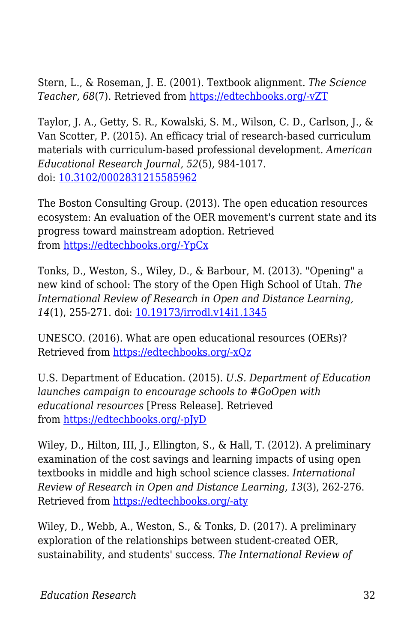Stern, L., & Roseman, J. E. (2001). Textbook alignment. *The Science Teacher, 68*(7). Retrieved from [https://edtechbooks.org/-vZT](https://search.proquest.com/openview/ad5751dba9c5118d7eb1bf3ccc2622c3/1?pq-origsite=gscholar&cbl=40590)

Taylor, J. A., Getty, S. R., Kowalski, S. M., Wilson, C. D., Carlson, J., & Van Scotter, P. (2015). An efficacy trial of research-based curriculum materials with curriculum-based professional development. *American Educational Research Journal, 52*(5), 984-1017. doi: [10.3102/0002831215585962](http://doi.org/10.3102/0002831215585962)

The Boston Consulting Group. (2013). The open education resources ecosystem: An evaluation of the OER movement's current state and its progress toward mainstream adoption. Retrieved from [https://edtechbooks.org/-YpCx](http://www.hewlett.org/library/the-open-education-resources-ecosystem/)

Tonks, D., Weston, S., Wiley, D., & Barbour, M. (2013). "Opening" a new kind of school: The story of the Open High School of Utah. *The International Review of Research in Open and Distance Learning, 14*(1), 255-271. doi: [10.19173/irrodl.v14i1.1345](http://doi.org/10.19173/irrodl.v14i1.1345)

UNESCO. (2016). What are open educational resources (OERs)? Retrieved from [https://edtechbooks.org/-xQz](http://www.unesco.org/new/en/communication-and-information/access-to-knowledge/open-educational-resources/what-are-open-educational-resources-oers/)

U.S. Department of Education. (2015). *U.S. Department of Education launches campaign to encourage schools to #GoOpen with educational resources* [Press Release]. Retrieved from [https://edtechbooks.org/-pJyD](http://www.ed.gov/news/press-releases/us-department-education-launches-campaign-encourage-schools-goopen-educational-resources)

Wiley, D., Hilton, III, J., Ellington, S., & Hall, T. (2012). A preliminary examination of the cost savings and learning impacts of using open textbooks in middle and high school science classes. *International Review of Research in Open and Distance Learning, 13*(3), 262-276. Retrieved from [https://edtechbooks.org/-aty](http://www.irrodl.org/index.php/irrodl/article/view/1153/2256)

Wiley, D., Webb, A., Weston, S., & Tonks, D. (2017). A preliminary exploration of the relationships between student-created OER, sustainability, and students' success. *The International Review of*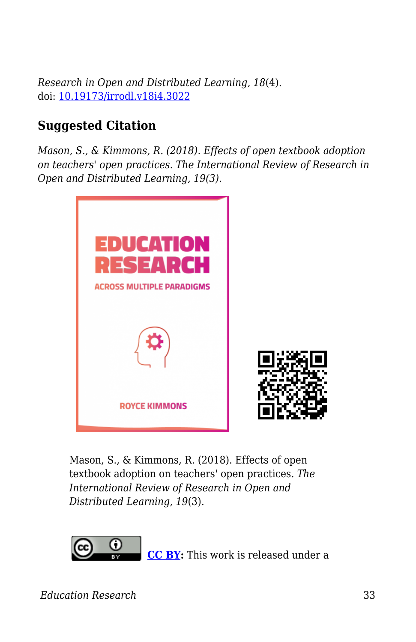*Research in Open and Distributed Learning, 18*(4). doi: [10.19173/irrodl.v18i4.3022](http://doi.org/10.19173/irrodl.v18i4.3022)

#### **Suggested Citation**

*Mason, S., & Kimmons, R. (2018). Effects of open textbook adoption on teachers' open practices. The International Review of Research in Open and Distributed Learning, 19(3).*



Mason, S., & Kimmons, R. (2018). Effects of open textbook adoption on teachers' open practices. *The International Review of Research in Open and Distributed Learning, 19*(3).